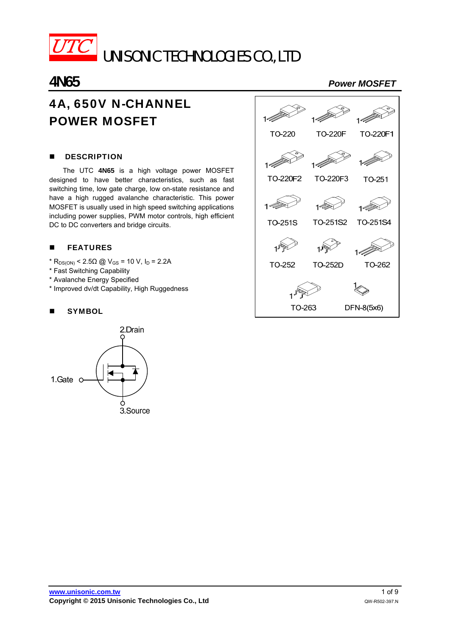

UNISONIC TECHNOLOGIES CO., LTD

# 4A, 650V N-CHANNEL POWER MOSFET

## **DESCRIPTION**

The UTC **4N65** is a high voltage power MOSFET designed to have better characteristics, such as fast switching time, low gate charge, low on-state resistance and have a high rugged avalanche characteristic. This power MOSFET is usually used in high speed switching applications including power supplies, PWM motor controls, high efficient DC to DC converters and bridge circuits.

# **FEATURES**

- $*$  R<sub>DS(ON)</sub> < 2.5Ω @ V<sub>GS</sub> = 10 V, I<sub>D</sub> = 2.2A
- \* Fast Switching Capability
- \* Avalanche Energy Specified
- \* Improved dv/dt Capability, High Ruggedness

## **SYMBOL**





# **4N65** *Power MOSFET*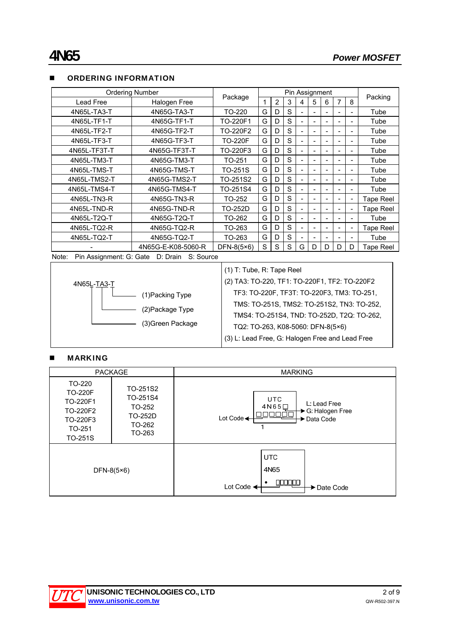| <b>Ordering Number</b>                                 |                    | Package        | Pin Assignment |   |   |                          |   |   |   |    |                  |  |
|--------------------------------------------------------|--------------------|----------------|----------------|---|---|--------------------------|---|---|---|----|------------------|--|
| Lead Free                                              | Halogen Free       |                |                | 2 | 3 | 4                        | 5 | 6 | 7 | 8  | Packing          |  |
| 4N65L-TA3-T                                            | 4N65G-TA3-T        | TO-220         | G              | D | S |                          |   |   |   |    | Tube             |  |
| 4N65L-TF1-T                                            | 4N65G-TF1-T        | TO-220F1       | G              | D | S | ۰                        |   |   |   |    | Tube             |  |
| 4N65L-TF2-T                                            | 4N65G-TF2-T        | TO-220F2       | G              | D | S | $\overline{\phantom{a}}$ |   |   |   |    | Tube             |  |
| 4N65L-TF3-T                                            | 4N65G-TF3-T        | <b>TO-220F</b> | G              | D | S | $\equiv$                 |   | ۰ |   |    | Tube             |  |
| 4N65L-TF3T-T                                           | 4N65G-TF3T-T       | TO-220F3       | G              | D | S | $\blacksquare$           |   |   |   |    | Tube             |  |
| 4N65L-TM3-T                                            | 4N65G-TM3-T        | TO-251         | G              | D | S |                          |   |   |   | ۰  | Tube             |  |
| 4N65L-TMS-T                                            | 4N65G-TMS-T        | TO-251S        | G              | D | S |                          |   |   |   |    | Tube             |  |
| 4N65L-TMS2-T                                           | 4N65G-TMS2-T       | TO-251S2       | G              | D | S |                          |   |   |   | ٠  | Tube             |  |
| 4N65L-TMS4-T                                           | 4N65G-TMS4-T       | TO-251S4       | G              | D | S |                          |   |   |   | ۰  | Tube             |  |
| 4N65L-TN3-R                                            | 4N65G-TN3-R        | TO-252         | G              | D | S |                          |   |   |   | ۰  | <b>Tape Reel</b> |  |
| 4N65L-TND-R                                            | 4N65G-TND-R        | TO-252D        | G              | D | S | ۰                        |   |   |   | L, | Tape Reel        |  |
| 4N65L-T2Q-T                                            | 4N65G-T2Q-T        | TO-262         | G              | D | S |                          |   |   |   |    | Tube             |  |
| 4N65L-TQ2-R                                            | 4N65G-TQ2-R        | TO-263         | G              | D | S | ۰                        |   |   |   | ۰  | Tape Reel        |  |
| 4N65L-TQ2-T                                            | 4N65G-TQ2-T        | TO-263         | G              | D | S |                          |   |   |   |    | Tube             |  |
|                                                        | 4N65G-E-K08-5060-R | DFN-8( $5×6$ ) | S              | S | S | G                        | D | D | D | D  | Tape Reel        |  |
| Pin Assignment: G: Gate<br>D: Drain S: Source<br>Note: |                    |                |                |   |   |                          |   |   |   |    |                  |  |

#### **NUMBER INFORMATION**



# (1) T: Tube, R: Tape Reel

(2) TA3: TO-220, TF1: TO-220F1, TF2: TO-220F2 TF3: TO-220F, TF3T: TO-220F3, TM3: TO-251, TMS: TO-251S, TMS2: TO-251S2, TN3: TO-252, TMS4: TO-251S4, TND: TO-252D, T2Q: TO-262, TQ2: TO-263, K08-5060: DFN-8(5×6) (3) L: Lead Free, G: Halogen Free and Lead Free

### **MARKING**

| <b>PACKAGE</b>                                                                           |                                                               | <b>MARKING</b>                                                                               |  |  |  |  |
|------------------------------------------------------------------------------------------|---------------------------------------------------------------|----------------------------------------------------------------------------------------------|--|--|--|--|
| TO-220<br><b>TO-220F</b><br><b>TO-220F1</b><br>TO-220F2<br>TO-220F3<br>TO-251<br>TO-251S | TO-251S2<br>TO-251S4<br>TO-252<br>TO-252D<br>TO-262<br>TO-263 | <b>UTC</b><br>L: Lead Free<br>4N65<br>→ G: Halogen Free<br>חחני<br>Lot Code <<br>→ Data Code |  |  |  |  |
| DFN-8 $(5 \times 6)$                                                                     |                                                               | <b>UTC</b><br>4N65<br>000000<br>Lot Code $\triangleleft$<br>→ Date Code                      |  |  |  |  |

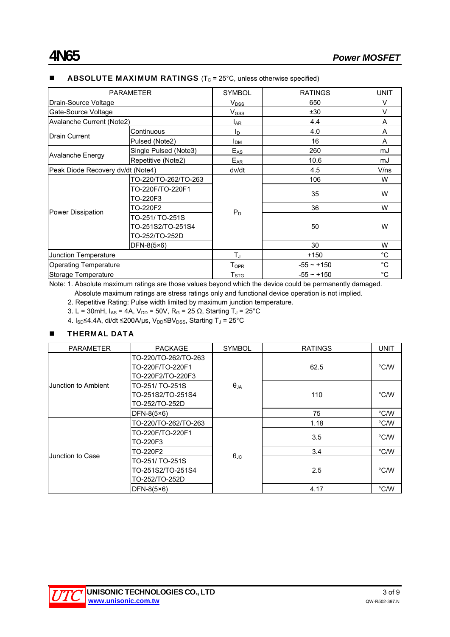| <b>PARAMETER</b>                  |                       | <b>SYMBOL</b>           | <b>RATINGS</b>                                                                                                                                                     | <b>UNIT</b>  |
|-----------------------------------|-----------------------|-------------------------|--------------------------------------------------------------------------------------------------------------------------------------------------------------------|--------------|
| Drain-Source Voltage              |                       | <b>V</b> <sub>DSS</sub> | 650                                                                                                                                                                | $\vee$       |
| Gate-Source Voltage               |                       |                         | ±30                                                                                                                                                                | $\vee$       |
| Avalanche Current (Note2)         |                       | <b>LAR</b>              | 4.4                                                                                                                                                                | A            |
|                                   | Continuous            | ΙD                      | 4.0                                                                                                                                                                | A            |
| Drain Current                     | Pulsed (Note2)        | I <sub>DM</sub>         | V <sub>GSS</sub><br>16<br>$E_{AS}$<br>260<br>$E_{AR}$<br>10.6<br>4.5<br>106<br>35<br>36<br>$P_D$<br>50<br>30<br>$T_J$<br>$+150$<br>$-55 \sim +150$<br>$-55 - +150$ | A            |
|                                   | Single Pulsed (Note3) |                         | mJ<br>mJ<br>dv/dt<br>V/ns<br>W<br>W<br>W                                                                                                                           |              |
| <b>Avalanche Energy</b>           | Repetitive (Note2)    |                         |                                                                                                                                                                    |              |
| Peak Diode Recovery dv/dt (Note4) |                       |                         |                                                                                                                                                                    |              |
| Power Dissipation                 | TO-220/TO-262/TO-263  |                         |                                                                                                                                                                    |              |
|                                   | TO-220F/TO-220F1      |                         |                                                                                                                                                                    |              |
|                                   | TO-220F3              |                         |                                                                                                                                                                    |              |
|                                   | TO-220F2              |                         |                                                                                                                                                                    |              |
|                                   | TO-251/TO-251S        |                         |                                                                                                                                                                    |              |
|                                   | TO-251S2/TO-251S4     |                         |                                                                                                                                                                    | W            |
|                                   | TO-252/TO-252D        |                         |                                                                                                                                                                    |              |
|                                   | DFN-8(5×6)            |                         |                                                                                                                                                                    | W            |
| Junction Temperature              |                       |                         |                                                                                                                                                                    | °C           |
| <b>Operating Temperature</b>      |                       | $T_{OPR}$               |                                                                                                                                                                    | $^{\circ}$ C |
| Storage Temperature               |                       | $T_{\mathtt{STG}}$      |                                                                                                                                                                    | $^{\circ}C$  |

#### **ABSOLUTE MAXIMUM RATINGS** ( $T_c$  = 25 $^{\circ}$ C, unless otherwise specified)

Note: 1. Absolute maximum ratings are those values beyond which the device could be permanently damaged. Absolute maximum ratings are stress ratings only and functional device operation is not implied.

2. Repetitive Rating: Pulse width limited by maximum junction temperature.

- 3. L = 30mH,  $I_{AS}$  = 4A,  $V_{DD}$  = 50V, R<sub>G</sub> = 25  $\Omega$ , Starting T<sub>J</sub> = 25°C
- 4.  $I_{SD}$ ≤4.4A, di/dt ≤200A/μs, V<sub>DD</sub>≤BV<sub>DSS</sub>, Starting T<sub>J</sub> = 25°C

### **THERMAL DATA**

| <b>PARAMETER</b>    | <b>PACKAGE</b>       | <b>SYMBOL</b>        | <b>RATINGS</b> | <b>UNIT</b>    |  |
|---------------------|----------------------|----------------------|----------------|----------------|--|
|                     | TO-220/TO-262/TO-263 |                      |                |                |  |
|                     | TO-220F/TO-220F1     |                      | 62.5           | $\degree$ C/W  |  |
| Junction to Ambient | TO-220F2/TO-220F3    |                      |                |                |  |
|                     | TO-251/ TO-251S      | $\theta$ JA          |                |                |  |
|                     | TO-251S2/TO-251S4    |                      | 110            | $\degree$ C/W  |  |
|                     | TO-252/TO-252D       |                      |                |                |  |
|                     | $DFN-8(5\times6)$    |                      | 75             | $\degree$ C/W  |  |
|                     | TO-220/TO-262/TO-263 |                      | 1.18           | $\degree$ C/W  |  |
|                     | TO-220F/TO-220F1     |                      | 3.5            | $\degree$ C/W  |  |
|                     | TO-220F3             |                      |                |                |  |
| Junction to Case    | TO-220F2             |                      | 3.4            | $\degree$ C/W  |  |
|                     | TO-251/ TO-251S      | $\theta_{\text{JC}}$ |                |                |  |
|                     | TO-251S2/TO-251S4    |                      | 2.5            | $^{\circ}$ C/W |  |
|                     | TO-252/TO-252D       |                      |                |                |  |
|                     | $DFN-8(5\times6)$    |                      | 4.17           | $\degree$ C/W  |  |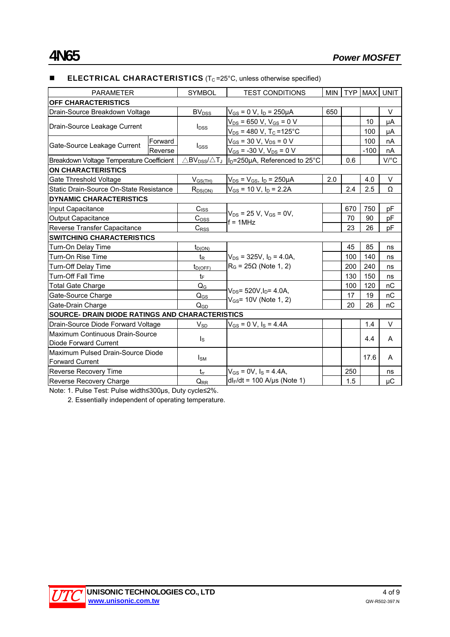#### **ELECTRICAL CHARACTERISTICS** ( $T<sub>C</sub> = 25$ °C, unless otherwise specified)

| <b>PARAMETER</b>                                |         | <b>SYMBOL</b>                                                | <b>TEST CONDITIONS</b>                    | <b>MIN</b> |     |        | TYP   MAX   UNIT     |
|-------------------------------------------------|---------|--------------------------------------------------------------|-------------------------------------------|------------|-----|--------|----------------------|
| <b>OFF CHARACTERISTICS</b>                      |         |                                                              |                                           |            |     |        |                      |
| Drain-Source Breakdown Voltage                  |         | BV <sub>DSS</sub>                                            | $V_{GS}$ = 0 V, $I_D$ = 250µA             | 650        |     |        | $\vee$               |
| Drain-Source Leakage Current                    |         |                                                              | $V_{DS}$ = 650 V, V <sub>GS</sub> = 0 V   |            |     | 10     | μA                   |
|                                                 |         | $I_{DSS}$                                                    | $V_{DS}$ = 480 V, T <sub>C</sub> = 125°C  |            |     | 100    | μA                   |
| Gate-Source Leakage Current                     | Forward |                                                              | $V_{GS}$ = 30 V, $V_{DS}$ = 0 V           |            |     | 100    | nA                   |
|                                                 | Reverse | $_{\text{GSS}}$                                              | $V_{GS}$ = -30 V, $V_{DS}$ = 0 V          |            |     | $-100$ | nA                   |
| Breakdown Voltage Temperature Coefficient       |         | $\triangle$ BV $_{\text{DSS}}$ / $\triangle$ T $_{\text{J}}$ | I <sub>D</sub> =250µA, Referenced to 25°C | 0.6        |     |        | $V$ <sup>o</sup> $C$ |
| <b>ON CHARACTERISTICS</b>                       |         |                                                              |                                           |            |     |        |                      |
| Gate Threshold Voltage                          |         | $V_{GS(TH)}$                                                 | $V_{DS}$ = $V_{GS}$ , $I_D$ = 250µA       | 2.0        |     | 4.0    | V                    |
| Static Drain-Source On-State Resistance         |         | $R_{DS(ON)}$                                                 | $V_{GS}$ = 10 V, $I_D$ = 2.2A             |            | 2.4 | 2.5    | Ω                    |
| <b>DYNAMIC CHARACTERISTICS</b>                  |         |                                                              |                                           |            |     |        |                      |
| Input Capacitance                               |         |                                                              | $V_{DS}$ = 25 V, V <sub>GS</sub> = 0V,    |            | 670 | 750    | pF                   |
| <b>Output Capacitance</b>                       |         | $C_{\text{OSS}}$                                             | $f = 1MHz$                                |            | 70  | 90     | pF                   |
| Reverse Transfer Capacitance                    |         | $C_{\rm RSS}$                                                |                                           |            | 23  | 26     | pF                   |
| <b>SWITCHING CHARACTERISTICS</b>                |         |                                                              |                                           |            |     |        |                      |
| Turn-On Delay Time                              |         | $t_{D(ON)}$                                                  |                                           |            | 45  | 85     | ns                   |
| Turn-On Rise Time                               |         | $t_{\mathsf{R}}$                                             | $V_{DS}$ = 325V, $I_D$ = 4.0A,            |            | 100 | 140    | ns                   |
| Turn-Off Delay Time                             |         | $t_{D(OFF)}$                                                 | $R_G$ = 25 $\Omega$ (Note 1, 2)           |            | 200 | 240    | ns                   |
| Turn-Off Fall Time                              |         | tF                                                           |                                           |            | 130 | 150    | ns                   |
| Total Gate Charge                               |         | $Q_{G}$                                                      | $V_{DS}$ = 520V, $I_D$ = 4.0A,            |            | 100 | 120    | пC                   |
| Gate-Source Charge                              |         | $Q_{GS}$                                                     | $V_{GS}$ = 10V (Note 1, 2)                |            | 17  | 19     | nC                   |
| Gate-Drain Charge                               |         | $Q_{GD}$                                                     |                                           |            | 20  | 26     | nC                   |
| SOURCE- DRAIN DIODE RATINGS AND CHARACTERISTICS |         |                                                              |                                           |            |     |        |                      |
| Drain-Source Diode Forward Voltage              |         | $V_{SD}$                                                     | $V_{GS} = 0 V$ , $I_S = 4.4A$             |            |     | 1.4    | $\vee$               |
| Maximum Continuous Drain-Source                 |         | $I_{\rm S}$                                                  |                                           |            |     | 4.4    | A                    |
| Diode Forward Current                           |         |                                                              |                                           |            |     |        |                      |
| Maximum Pulsed Drain-Source Diode               |         | $I_{SM}$                                                     |                                           |            |     | 17.6   | A                    |
| <b>Forward Current</b>                          |         |                                                              |                                           |            |     |        |                      |
| Reverse Recovery Time                           |         | $t_{rr}$                                                     | $V_{GS} = 0V$ , $I_S = 4.4A$ ,            |            | 250 |        | ns                   |
| Reverse Recovery Charge                         |         | $Q_{RR}$                                                     | $dl_F/dt = 100$ A/µs (Note 1)             |            | 1.5 |        | μC                   |

Note: 1. Pulse Test: Pulse width≤300μs, Duty cycle≤2%.

2. Essentially independent of operating temperature.

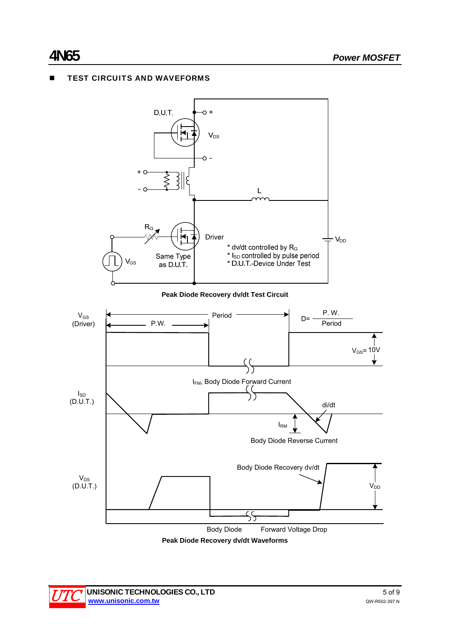# **TEST CIRCUITS AND WAVEFORMS**



**Peak Diode Recovery dv/dt Waveforms** 

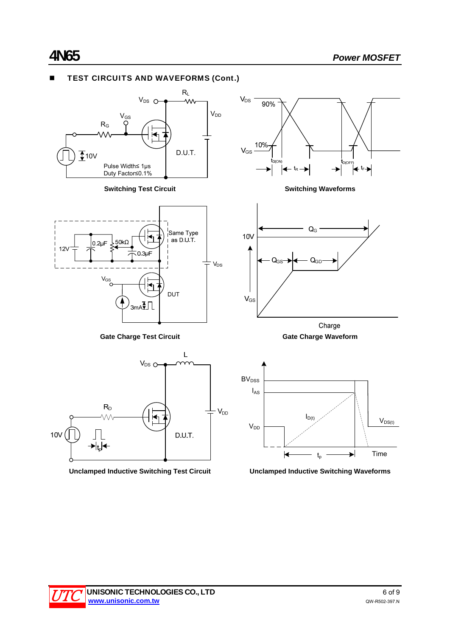# TEST CIRCUITS AND WAVEFORMS (Cont.)





**Gate Charge Test Circuit Gate Charge Waveform**



**Unclamped Inductive Switching Test Circuit Unclamped Inductive Switching Waveforms**



**Switching Test Circuit Switching Waveforms**



Charge

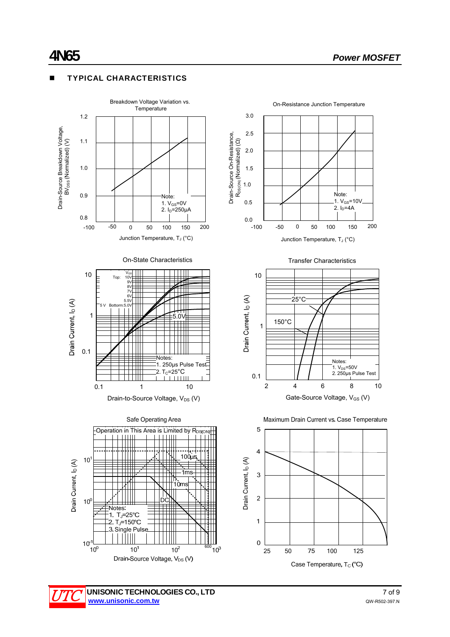### TYPICAL CHARACTERISTICS





Drain-to-Source Voltage, V<sub>DS</sub> (V)





Junction Temperature, T<sub>J</sub> (°C)









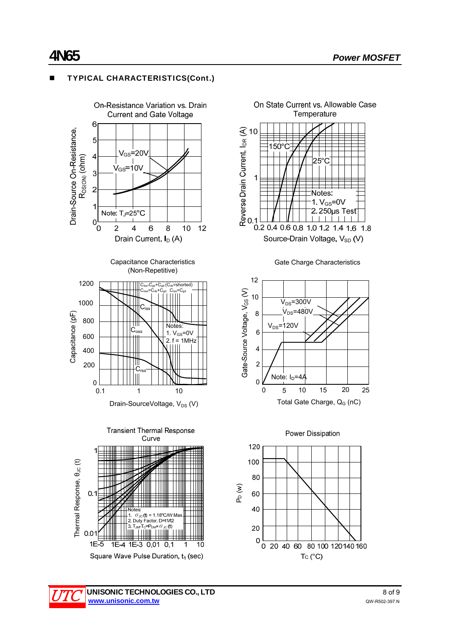# TYPICAL CHARACTERISTICS(Cont.)